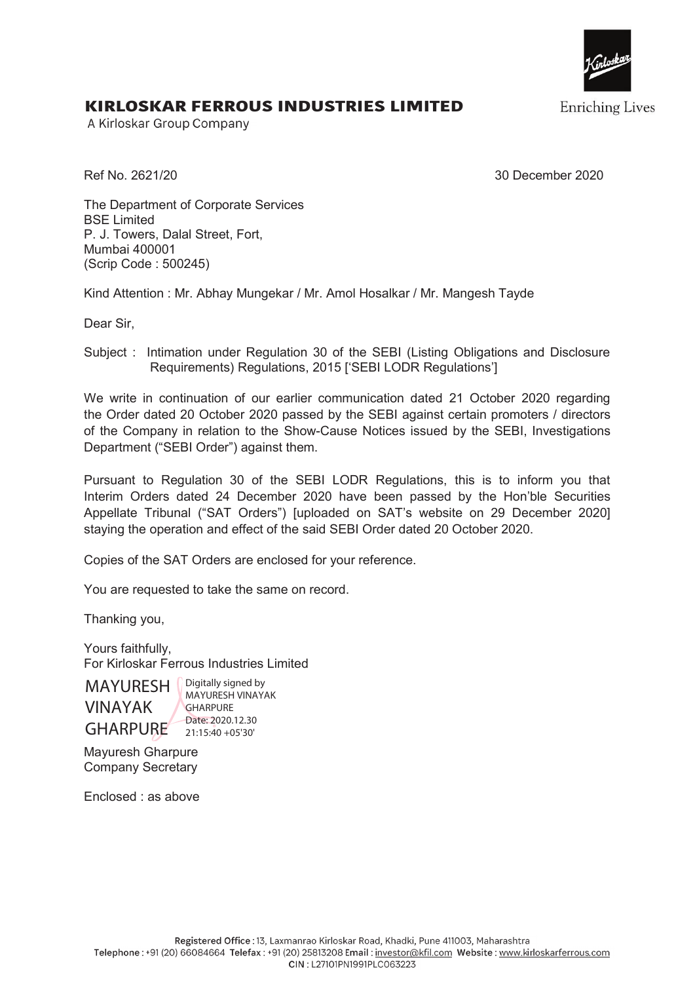

**Enriching Lives** 

## KIRLOSKAR FERROUS INDUSTRIES LIMITED

A Kirloskar Group Company

Ref No. 2621/20 30 December 2020

The Department of Corporate Services BSE Limited P. J. Towers, Dalal Street, Fort, Mumbai 400001 (Scrip Code : 500245)

Kind Attention : Mr. Abhay Mungekar / Mr. Amol Hosalkar / Mr. Mangesh Tayde

Dear Sir,

Subject : Intimation under Regulation 30 of the SEBI (Listing Obligations and Disclosure Requirements) Regulations, 2015 ['SEBI LODR Regulations']

We write in continuation of our earlier communication dated 21 October 2020 regarding the Order dated 20 October 2020 passed by the SEBI against certain promoters / directors of the Company in relation to the Show-Cause Notices issued by the SEBI, Investigations Department ("SEBI Order") against them.

Pursuant to Regulation 30 of the SEBI LODR Regulations, this is to inform you that Interim Orders dated 24 December 2020 have been passed by the Hon'ble Securities Appellate Tribunal ("SAT Orders") [uploaded on SAT's website on 29 December 2020] staying the operation and effect of the said SEBI Order dated 20 October 2020.

Copies of the SAT Orders are enclosed for your reference.

You are requested to take the same on record.

Thanking you,

Yours faithfully, For Kirloskar Ferrous Industries Limited

MAYURESH VINAYAK GHARPURE 20115:40 +05'30

Digitally signed by MAYURESH VINAYAK **GHARPURE** Date: 2020.12.30

Mayuresh Gharpure Company Secretary

Enclosed : as above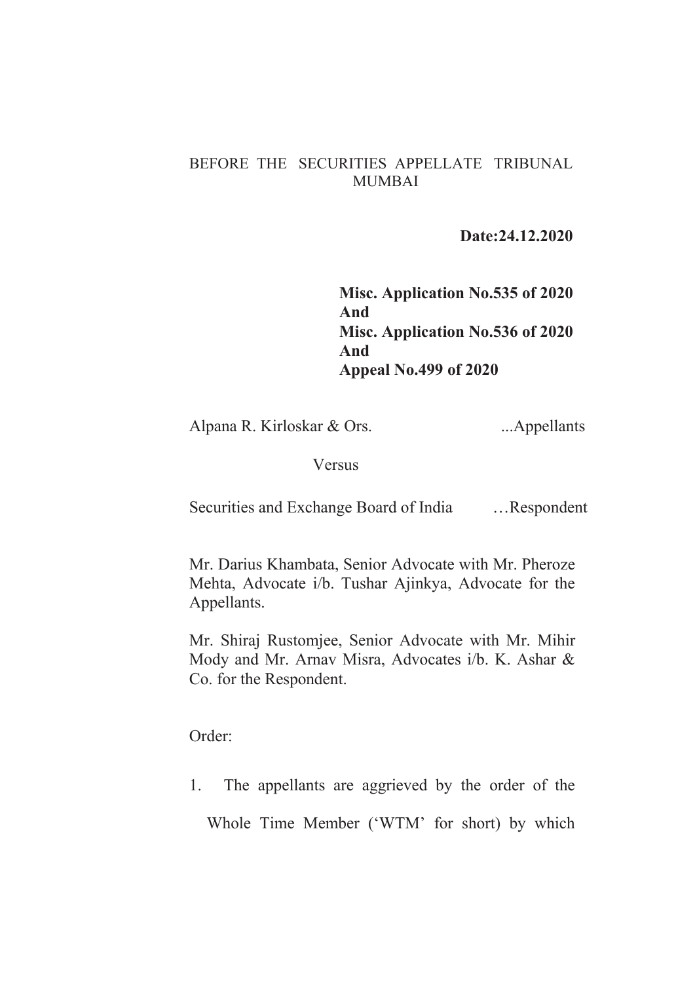## BEFORE THE SECURITIES APPELLATE TRIBUNAL MUMBAI

 **Date:24.12.2020** 

**Misc. Application No.535 of 2020 And Misc. Application No.536 of 2020 And Appeal No.499 of 2020** 

Alpana R. Kirloskar & Ors. ...Appellants

Versus

Securities and Exchange Board of India …Respondent

Mr. Darius Khambata, Senior Advocate with Mr. Pheroze Mehta, Advocate i/b. Tushar Ajinkya, Advocate for the Appellants.

Mr. Shiraj Rustomjee, Senior Advocate with Mr. Mihir Mody and Mr. Arnav Misra, Advocates i/b. K. Ashar & Co. for the Respondent.

Order:

1. The appellants are aggrieved by the order of the Whole Time Member ('WTM' for short) by which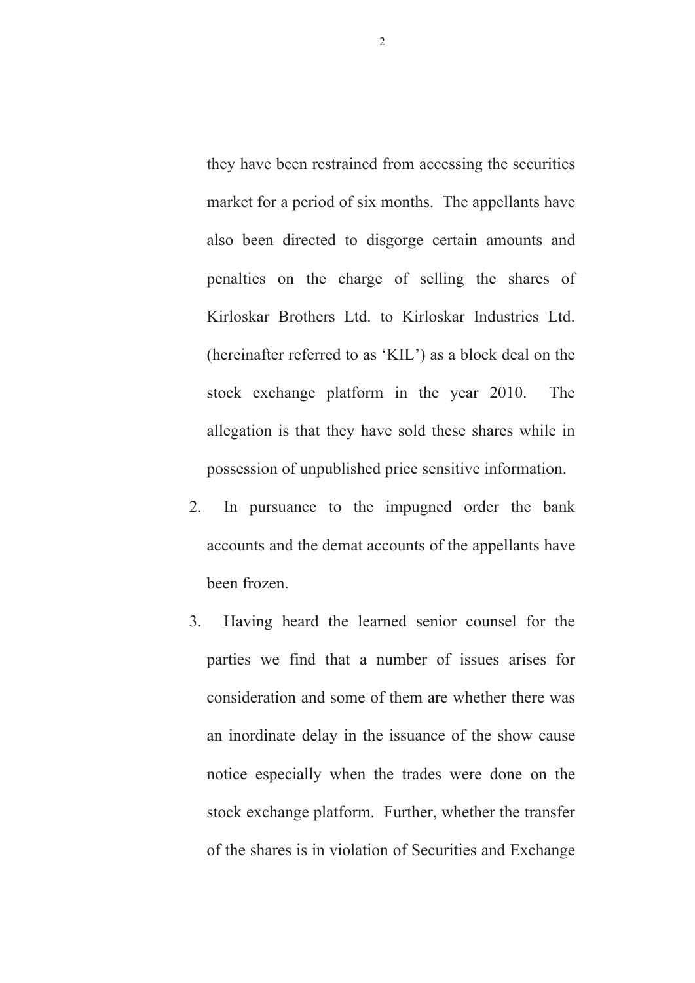they have been restrained from accessing the securities market for a period of six months. The appellants have also been directed to disgorge certain amounts and penalties on the charge of selling the shares of Kirloskar Brothers Ltd. to Kirloskar Industries Ltd. (hereinafter referred to as 'KIL') as a block deal on the stock exchange platform in the year 2010. The allegation is that they have sold these shares while in possession of unpublished price sensitive information.

- 2.In pursuance to the impugned order the bank accounts and the demat accounts of the appellants have been frozen.
- 3. Having heard the learned senior counsel for the parties we find that a number of issues arises for consideration and some of them are whether there was an inordinate delay in the issuance of the show cause notice especially when the trades were done on the stock exchange platform. Further, whether the transfer of the shares is in violation of Securities and Exchange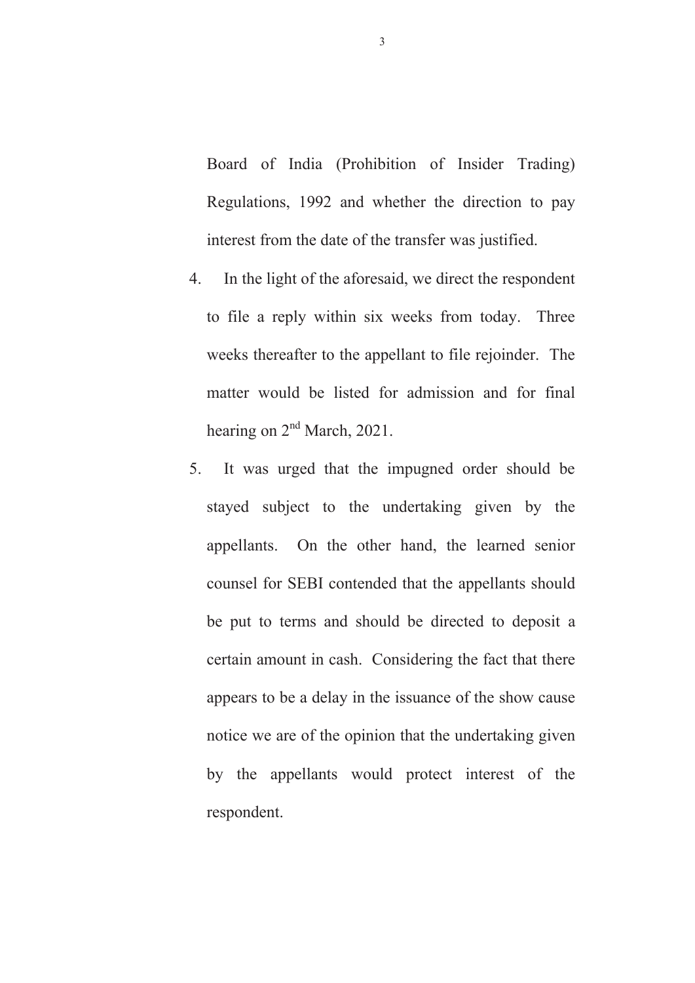Board of India (Prohibition of Insider Trading) Regulations, 1992 and whether the direction to pay interest from the date of the transfer was justified.

- 4. In the light of the aforesaid, we direct the respondent to file a reply within six weeks from today. Three weeks thereafter to the appellant to file rejoinder. The matter would be listed for admission and for final hearing on  $2<sup>nd</sup>$  March, 2021.
- 5. It was urged that the impugned order should be stayed subject to the undertaking given by the appellants. On the other hand, the learned senior counsel for SEBI contended that the appellants should be put to terms and should be directed to deposit a certain amount in cash. Considering the fact that there appears to be a delay in the issuance of the show cause notice we are of the opinion that the undertaking given by the appellants would protect interest of the respondent.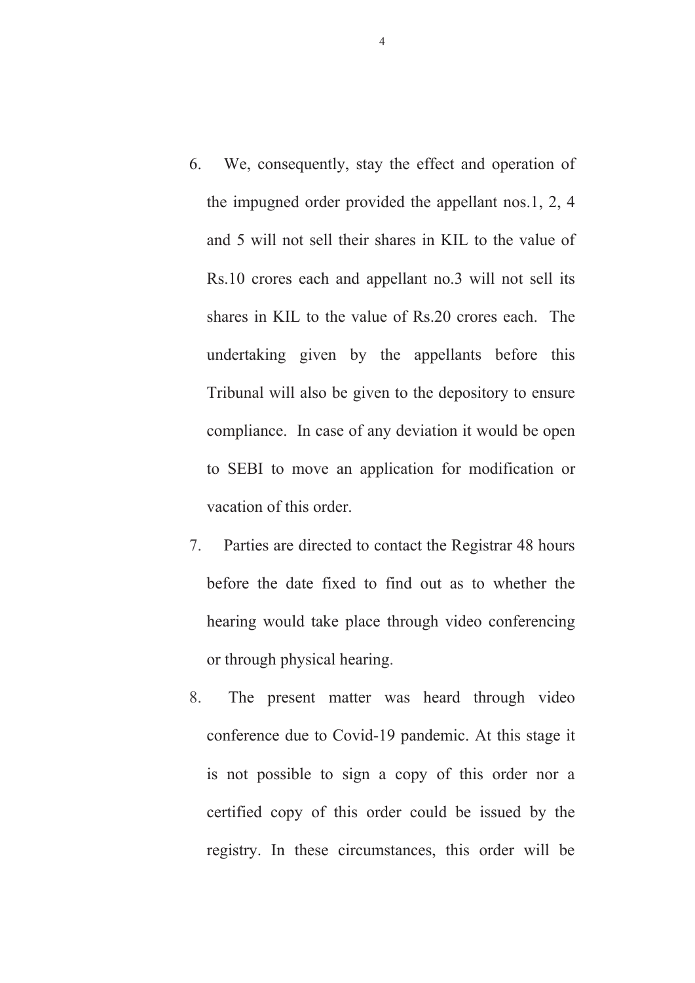- 6. We, consequently, stay the effect and operation of the impugned order provided the appellant nos.1, 2, 4 and 5 will not sell their shares in KIL to the value of Rs.10 crores each and appellant no.3 will not sell its shares in KIL to the value of Rs.20 crores each. The undertaking given by the appellants before this Tribunal will also be given to the depository to ensure compliance. In case of any deviation it would be open to SEBI to move an application for modification or vacation of this order.
- 7. Parties are directed to contact the Registrar 48 hours before the date fixed to find out as to whether the hearing would take place through video conferencing or through physical hearing.
- 8. The present matter was heard through video conference due to Covid-19 pandemic. At this stage it is not possible to sign a copy of this order nor a certified copy of this order could be issued by the registry. In these circumstances, this order will be

4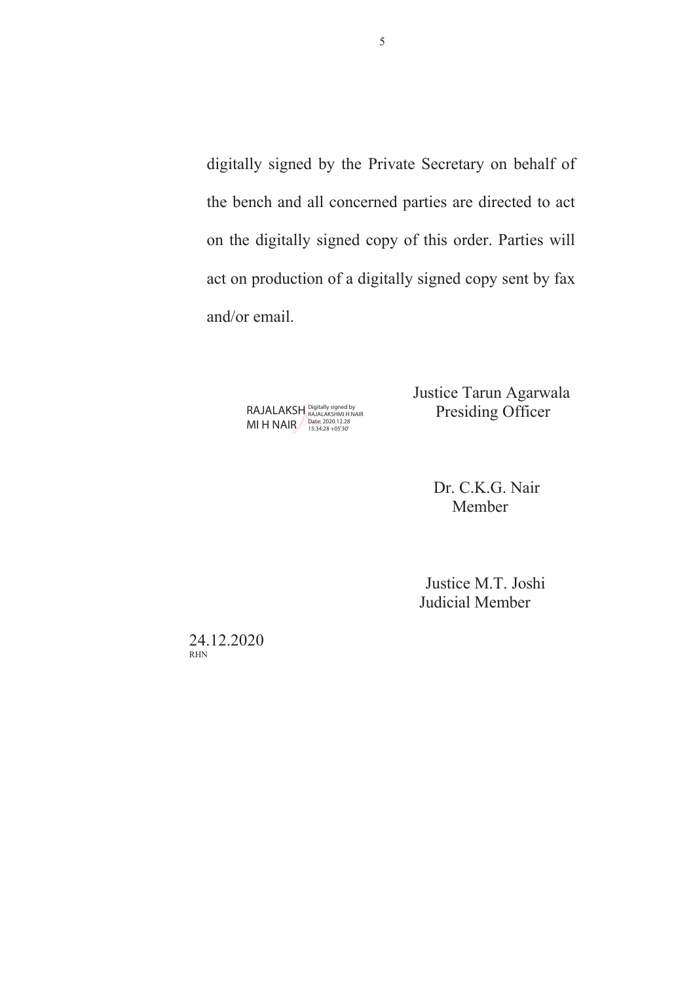digitally signed by the Private Secretary on behalf of the bench and all concerned parties are directed to act on the digitally signed copy of this order. Parties will act on production of a digitally signed copy sent by fax and/or email.

> MI H NAIR Digitally signed by RAJALAKSHMI H NAIR Date: 2020.12.28 15:34:28 +05'30'

 Justice Tarun Agarwala RAJALAKSH BAJALAKSHMI HNAIR Presiding Officer

> Dr. C.K.G. Nair Member

 Justice M.T. Joshi Judicial Member

24.12.2020 RHN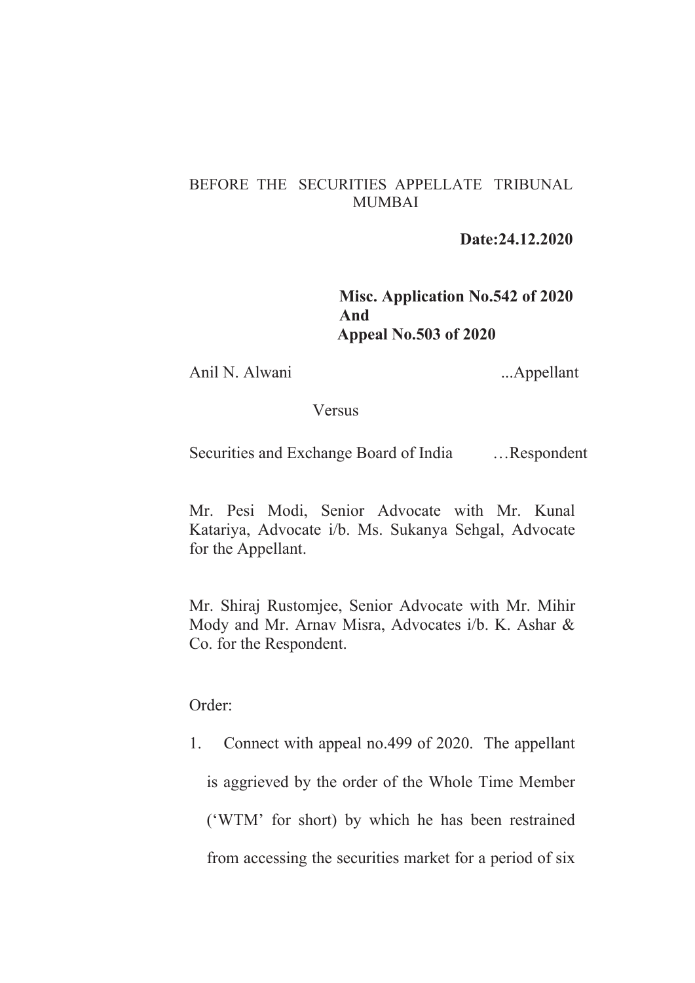## BEFORE THE SECURITIES APPELLATE TRIBUNAL MUMBAI

 **Date:24.12.2020** 

**Misc. Application No.542 of 2020 And Appeal No.503 of 2020** 

Anil N. Alwani ...Appellant

## Versus

Securities and Exchange Board of India …Respondent

Mr. Pesi Modi, Senior Advocate with Mr. Kunal Katariya, Advocate i/b. Ms. Sukanya Sehgal, Advocate for the Appellant.

Mr. Shiraj Rustomjee, Senior Advocate with Mr. Mihir Mody and Mr. Arnav Misra, Advocates i/b. K. Ashar & Co. for the Respondent.

Order:

1. Connect with appeal no.499 of 2020. The appellant is aggrieved by the order of the Whole Time Member ('WTM' for short) by which he has been restrained from accessing the securities market for a period of six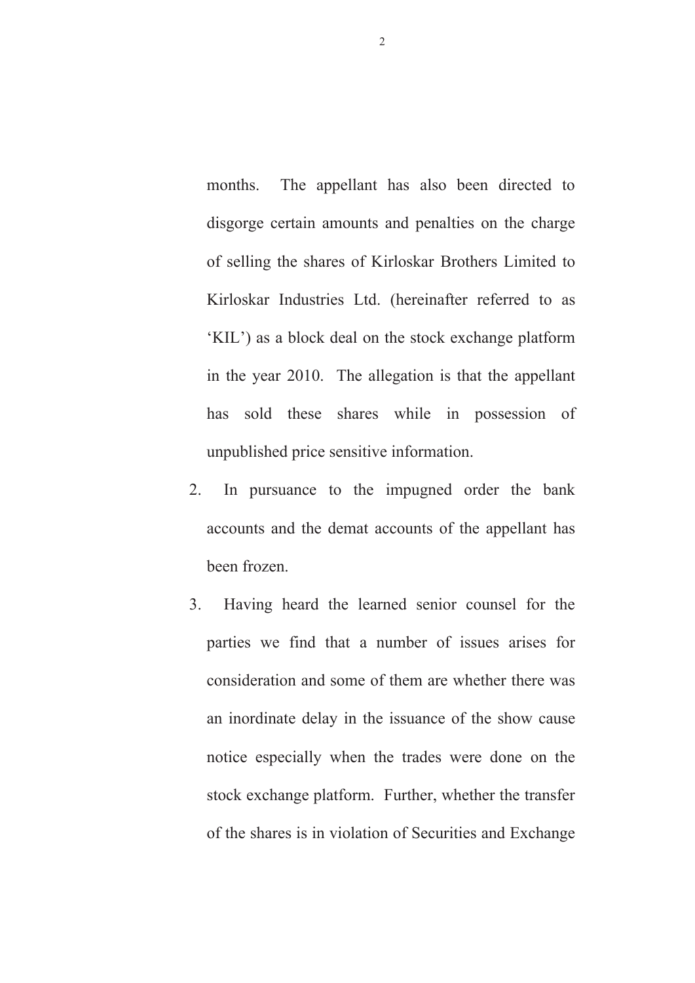months. The appellant has also been directed to disgorge certain amounts and penalties on the charge of selling the shares of Kirloskar Brothers Limited to Kirloskar Industries Ltd. (hereinafter referred to as 'KIL') as a block deal on the stock exchange platform in the year 2010. The allegation is that the appellant has sold these shares while in possession of unpublished price sensitive information.

- 2.In pursuance to the impugned order the bank accounts and the demat accounts of the appellant has been frozen.
- 3. Having heard the learned senior counsel for the parties we find that a number of issues arises for consideration and some of them are whether there was an inordinate delay in the issuance of the show cause notice especially when the trades were done on the stock exchange platform. Further, whether the transfer of the shares is in violation of Securities and Exchange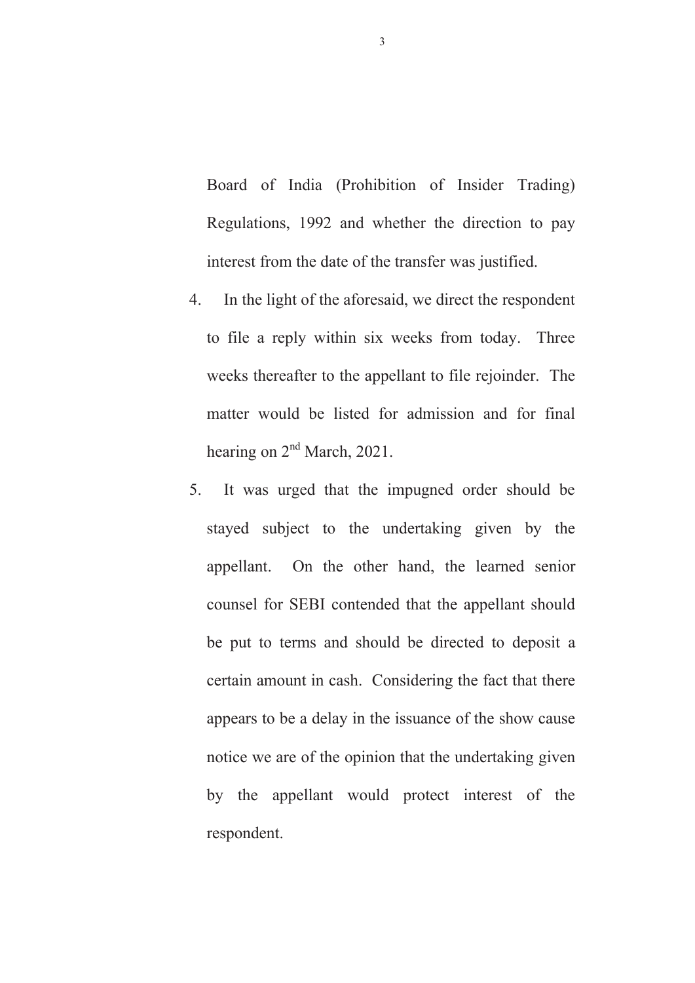Board of India (Prohibition of Insider Trading) Regulations, 1992 and whether the direction to pay interest from the date of the transfer was justified.

- 4. In the light of the aforesaid, we direct the respondent to file a reply within six weeks from today. Three weeks thereafter to the appellant to file rejoinder. The matter would be listed for admission and for final hearing on  $2<sup>nd</sup>$  March, 2021.
- 5. It was urged that the impugned order should be stayed subject to the undertaking given by the appellant. On the other hand, the learned senior counsel for SEBI contended that the appellant should be put to terms and should be directed to deposit a certain amount in cash. Considering the fact that there appears to be a delay in the issuance of the show cause notice we are of the opinion that the undertaking given by the appellant would protect interest of the respondent.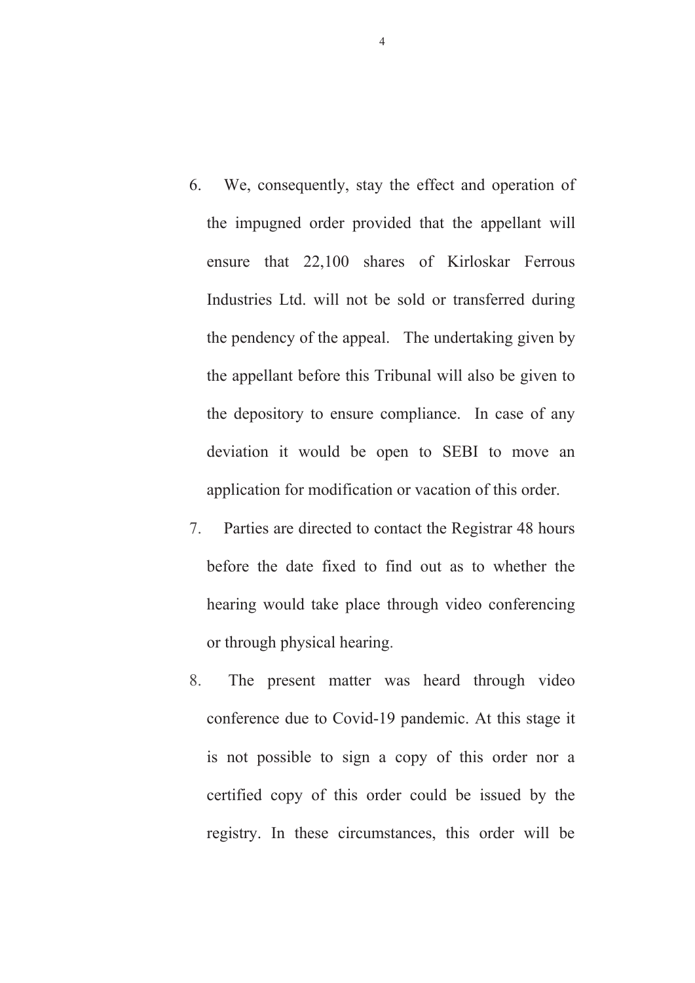- 6. We, consequently, stay the effect and operation of the impugned order provided that the appellant will ensure that 22,100 shares of Kirloskar Ferrous Industries Ltd. will not be sold or transferred during the pendency of the appeal. The undertaking given by the appellant before this Tribunal will also be given to the depository to ensure compliance. In case of any deviation it would be open to SEBI to move an application for modification or vacation of this order.
- 7. Parties are directed to contact the Registrar 48 hours before the date fixed to find out as to whether the hearing would take place through video conferencing or through physical hearing.
- 8. The present matter was heard through video conference due to Covid-19 pandemic. At this stage it is not possible to sign a copy of this order nor a certified copy of this order could be issued by the registry. In these circumstances, this order will be